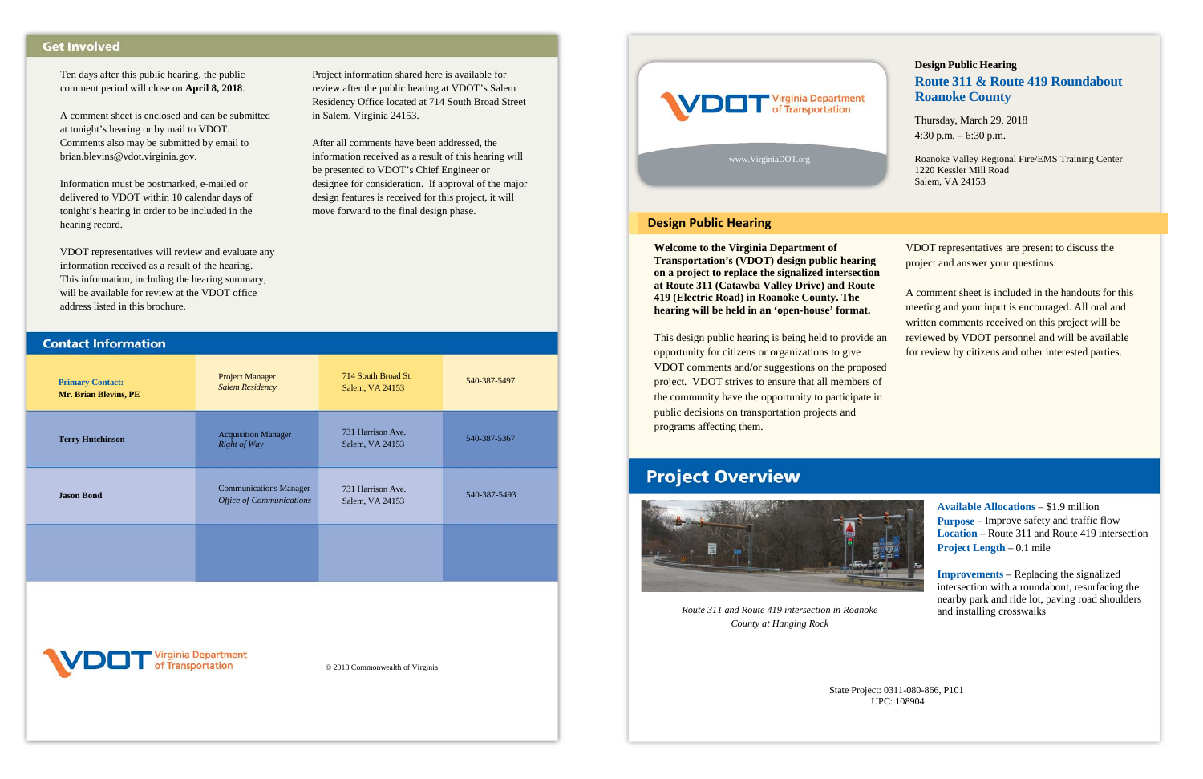| <b>Primary Contact:</b><br>Mr. Brian Blevins, PE | <b>Project Manager</b><br><b>Salem Residency</b>                 | 714 South Broad St.<br>Salem, VA 24153 | 540-387-5497 |
|--------------------------------------------------|------------------------------------------------------------------|----------------------------------------|--------------|
| <b>Terry Hutchinson</b>                          | <b>Acquisition Manager</b><br>Right of Way                       | 731 Harrison Ave.<br>Salem, VA 24153   | 540-387-5367 |
| <b>Jason Bond</b>                                | <b>Communications Manager</b><br><b>Office of Communications</b> | 731 Harrison Ave.<br>Salem, VA 24153   | 540-387-5493 |
|                                                  |                                                                  |                                        |              |
|                                                  |                                                                  |                                        |              |



Project information shared here is available for review after the public hearing at VDOT's Salem Residency Office located at 714 South Broad Street

in Salem, Virginia 24153.

After all comments have been addressed, the information received as a result of this hearing will

be presented to VDOT's Chief Engineer or

designee for consideration. If approval of the major design features is received for this project, it will

move forward to the final design phase.

## **Get Involved**

Ten days after this public hearing, the public comment period will close on **April 8, 2018**.

A comment sheet is enclosed and can be submitted at tonight's hearing or by mail to VDOT. Comments also may be submitted by email to brian.blevins@vdot.virginia.gov.

Information must be postmarked, e-mailed or delivered to VDOT within 10 calendar days of tonight's hearing in order to be included in the hearing record.

VDOT representatives will review and evaluate any information received as a result of the hearing. This information, including the hearing summary, will be available for review at the VDOT office address listed in this brochure.

**Contact Information** 

© 2018 Commonwealth of Virginia

**Welcome to the Virginia Department of Transportation's (VDOT) design public hearing on a project to replace the signalized intersection at Route 311 (Catawba Valley Drive) and Route 419 (Electric Road) in Roanoke County. The hearing will be held in an 'open-house' format.**

This design public hearing is being held to provide an opportunity for citizens or organizations to give VDOT comments and/or suggestions on the proposed project. VDOT strives to ensure that all members of the community have the opportunity to participate in public decisions on transportation projects and programs affecting them.

# **Project Overview**

VDOT representatives are present to discuss the project and answer your questions.

A comment sheet is included in the handouts for this meeting and your input is encouraged. All oral and written comments received on this project will be reviewed by VDOT personnel and will be available for review by citizens and other interested parties.

**Available Allocations** – \$1.9 million **Purpose** – Improve safety and traffic flow **Location** – Route 311 and Route 419 intersection **Project Length** – 0.1 mile

**Improvements** – Replacing the signalized intersection with a roundabout, resurfacing the nearby park and ride lot, paving road shoulders and installing crosswalks



# **Design Public Hearing Route 311 & Route 419 Roundabout Roanoke County**

Thursday, March 29, 2018 4:30 p.m. – 6:30 p.m.

Roanoke Valley Regional Fire/EMS Training Center 1220 Kessler Mill Road Salem, VA 24153

State Project: 0311-080-866, P101 UPC: 108904



*Route 311 and Route 419 intersection in Roanoke County at Hanging Rock* 

### **Design Public Hearing**